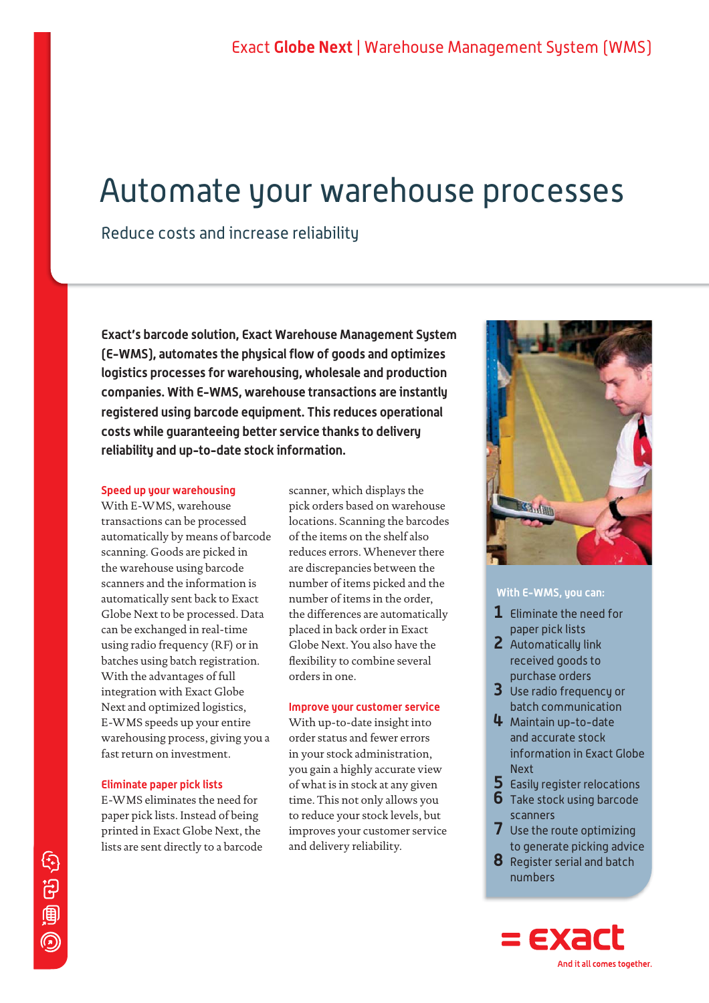# Automate your warehouse processes

Reduce costs and increase reliability

**Exact's barcode solution, Exact Warehouse Management System (E-WMS), automates the physical flow of goods and optimizes logistics processes for warehousing, wholesale and production companies. With E-WMS, warehouse transactions are instantly registered using barcode equipment. This reduces operational costs while guaranteeing better service thanks to delivery reliability and up-to-date stock information.**

# **Speed up your warehousing**

With E-WMS, warehouse transactions can be processed automatically by means of barcode scanning. Goods are picked in the warehouse using barcode scanners and the information is automatically sent back to Exact Globe Next to be processed. Data can be exchanged in real-time using radio frequency (RF) or in batches using batch registration. With the advantages of full integration with Exact Globe Next and optimized logistics, E-WMS speeds up your entire warehousing process, giving you a fast return on investment.

# **Eliminate paper pick lists**

E-WMS eliminates the need for paper pick lists. Instead of being printed in Exact Globe Next, the lists are sent directly to a barcode scanner, which displays the pick orders based on warehouse locations. Scanning the barcodes of the items on the shelf also reduces errors. Whenever there are discrepancies between the number of items picked and the number of items in the order, the differences are automatically placed in back order in Exact Globe Next. You also have the flexibility to combine several orders in one.

# **Improve your customer service**

With up-to-date insight into order status and fewer errors in your stock administration, you gain a highly accurate view of what is in stock at any given time. This not only allows you to reduce your stock levels, but improves your customer service and delivery reliability.



# **With E-WMS, you can:**

- **1** Eliminate the need for paper pick lists
- **2** Automatically link received goods to purchase orders
- **3** Use radio frequency or batch communication
- **4** Maintain up-to-date and accurate stock information in Exact Globe **Next**
- **5** Easily register relocations
- **6** Take stock using barcode scanners
- **7** Use the route optimizing to generate picking advice
- **8** Register serial and batch numbers